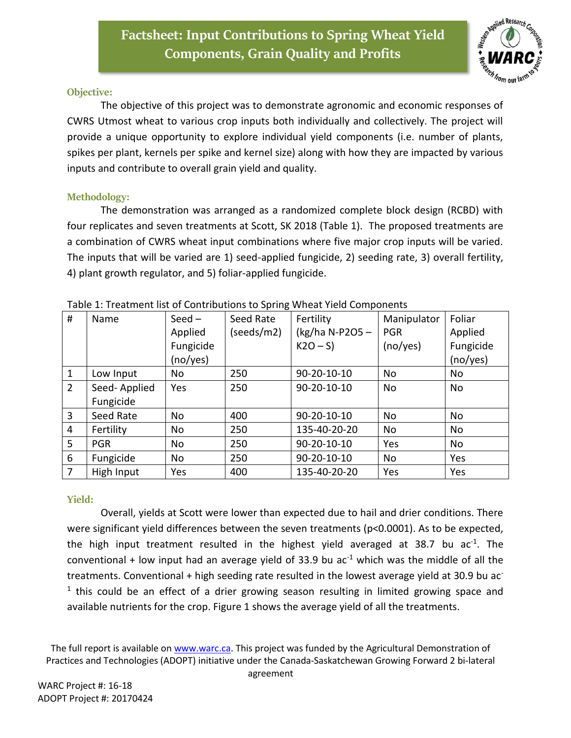

## **Objective:**

The objective of this project was to demonstrate agronomic and economic responses of CWRS Utmost wheat to various crop inputs both individually and collectively. The project will provide a unique opportunity to explore individual yield components (i.e. number of plants, spikes per plant, kernels per spike and kernel size) along with how they are impacted by various inputs and contribute to overall grain yield and quality.

## **Methodology:**

The demonstration was arranged as a randomized complete block design (RCBD) with four replicates and seven treatments at Scott, SK 2018 (Table 1). The proposed treatments are a combination of CWRS wheat input combinations where five major crop inputs will be varied. The inputs that will be varied are 1) seed-applied fungicide, 2) seeding rate, 3) overall fertility, 4) plant growth regulator, and 5) foliar-applied fungicide.

| #              | Name         | $Seed -$  | Seed Rate  | Fertility      | Manipulator | Foliar    |
|----------------|--------------|-----------|------------|----------------|-------------|-----------|
|                |              | Applied   | (seeds/m2) | (kg/ha N-P2O5- | <b>PGR</b>  | Applied   |
|                |              | Fungicide |            | $K2O-S$        | (no/yes)    | Fungicide |
|                |              | (no/yes)  |            |                |             | (no/yes)  |
| $\mathbf{1}$   | Low Input    | No        | 250        | 90-20-10-10    | No          | <b>No</b> |
| $\overline{2}$ | Seed-Applied | Yes       | 250        | 90-20-10-10    | No          | No        |
|                | Fungicide    |           |            |                |             |           |
| $\overline{3}$ | Seed Rate    | No        | 400        | 90-20-10-10    | <b>No</b>   | No        |
| 4              | Fertility    | No        | 250        | 135-40-20-20   | <b>No</b>   | <b>No</b> |
| 5              | <b>PGR</b>   | No        | 250        | 90-20-10-10    | Yes         | No        |
| 6              | Fungicide    | No        | 250        | 90-20-10-10    | No          | Yes       |
| $\overline{7}$ | High Input   | Yes       | 400        | 135-40-20-20   | Yes         | Yes       |

| Table 1: Treatment list of Contributions to Spring Wheat Yield Components |
|---------------------------------------------------------------------------|
|---------------------------------------------------------------------------|

## **Yield:**

Overall, yields at Scott were lower than expected due to hail and drier conditions. There were significant yield differences between the seven treatments (p<0.0001). As to be expected, the high input treatment resulted in the highest yield averaged at 38.7 bu ac<sup>-1</sup>. The conventional + low input had an average yield of 33.9 bu  $ac^{-1}$  which was the middle of all the treatments. Conventional + high seeding rate resulted in the lowest average yield at 30.9 bu ac-<sup>1</sup> this could be an effect of a drier growing season resulting in limited growing space and available nutrients for the crop. Figure 1 shows the average yield of all the treatments.

The full report is available on [www.warc.ca.](http://www.warc.ca/) This project was funded by the Agricultural Demonstration of Practices and Technologies (ADOPT) initiative under the Canada-Saskatchewan Growing Forward 2 bi-lateral